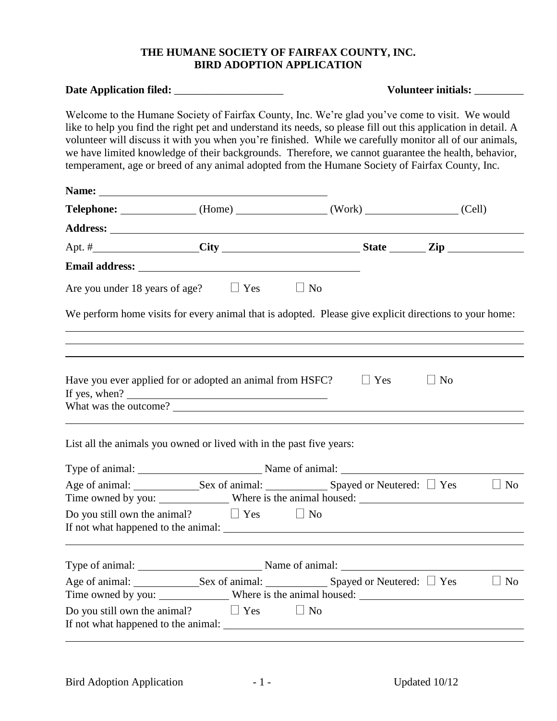## **THE HUMANE SOCIETY OF FAIRFAX COUNTY, INC. BIRD ADOPTION APPLICATION**

|                                                                                                                                                                                                                                                                                                                                                                                                                                |                                                                                                                                                                                                                                                                                                                                                                                                                                                                                                                                         | Volunteer initials: _________ |  |  |
|--------------------------------------------------------------------------------------------------------------------------------------------------------------------------------------------------------------------------------------------------------------------------------------------------------------------------------------------------------------------------------------------------------------------------------|-----------------------------------------------------------------------------------------------------------------------------------------------------------------------------------------------------------------------------------------------------------------------------------------------------------------------------------------------------------------------------------------------------------------------------------------------------------------------------------------------------------------------------------------|-------------------------------|--|--|
|                                                                                                                                                                                                                                                                                                                                                                                                                                | Welcome to the Humane Society of Fairfax County, Inc. We're glad you've come to visit. We would<br>like to help you find the right pet and understand its needs, so please fill out this application in detail. A<br>volunteer will discuss it with you when you're finished. While we carefully monitor all of our animals,<br>we have limited knowledge of their backgrounds. Therefore, we cannot guarantee the health, behavior,<br>temperament, age or breed of any animal adopted from the Humane Society of Fairfax County, Inc. |                               |  |  |
| Name: <u>2000 - 2000 - 2000 - 2000 - 2000 - 2000 - 2000 - 2000 - 2000 - 2000 - 2000 - 2000 - 2000 - 2000 - 2000 - 2000 - 2000 - 2000 - 2000 - 2000 - 2000 - 2000 - 2000 - 2000 - 2000 - 2000 - 2000 - 2000 - 2000 - 2000 - 2000 </u>                                                                                                                                                                                           |                                                                                                                                                                                                                                                                                                                                                                                                                                                                                                                                         |                               |  |  |
|                                                                                                                                                                                                                                                                                                                                                                                                                                | Telephone: (Home) (Work) (Cell)                                                                                                                                                                                                                                                                                                                                                                                                                                                                                                         |                               |  |  |
|                                                                                                                                                                                                                                                                                                                                                                                                                                |                                                                                                                                                                                                                                                                                                                                                                                                                                                                                                                                         |                               |  |  |
|                                                                                                                                                                                                                                                                                                                                                                                                                                |                                                                                                                                                                                                                                                                                                                                                                                                                                                                                                                                         |                               |  |  |
| Email address: No. 2016. The Contract of the Contract of the Contract of the Contract of the Contract of the Contract of the Contract of the Contract of the Contract of the Contract of the Contract of the Contract of the C                                                                                                                                                                                                 |                                                                                                                                                                                                                                                                                                                                                                                                                                                                                                                                         |                               |  |  |
| Are you under 18 years of age? $\Box$ Yes $\Box$ No                                                                                                                                                                                                                                                                                                                                                                            |                                                                                                                                                                                                                                                                                                                                                                                                                                                                                                                                         |                               |  |  |
|                                                                                                                                                                                                                                                                                                                                                                                                                                | We perform home visits for every animal that is adopted. Please give explicit directions to your home:                                                                                                                                                                                                                                                                                                                                                                                                                                  |                               |  |  |
|                                                                                                                                                                                                                                                                                                                                                                                                                                |                                                                                                                                                                                                                                                                                                                                                                                                                                                                                                                                         |                               |  |  |
| Have you ever applied for or adopted an animal from HSFC?<br>If yes, when? $\frac{1}{2}$ and $\frac{1}{2}$ and $\frac{1}{2}$ and $\frac{1}{2}$ and $\frac{1}{2}$ and $\frac{1}{2}$ and $\frac{1}{2}$ and $\frac{1}{2}$ and $\frac{1}{2}$ and $\frac{1}{2}$ and $\frac{1}{2}$ and $\frac{1}{2}$ and $\frac{1}{2}$ and $\frac{1}{2}$ and $\frac{1}{2}$ a<br>List all the animals you owned or lived with in the past five years: | $\Box$ Yes<br>What was the outcome?                                                                                                                                                                                                                                                                                                                                                                                                                                                                                                     | $\Box$ No                     |  |  |
|                                                                                                                                                                                                                                                                                                                                                                                                                                |                                                                                                                                                                                                                                                                                                                                                                                                                                                                                                                                         |                               |  |  |
|                                                                                                                                                                                                                                                                                                                                                                                                                                | Type of animal: Name of animal: Name of animal:                                                                                                                                                                                                                                                                                                                                                                                                                                                                                         |                               |  |  |
|                                                                                                                                                                                                                                                                                                                                                                                                                                |                                                                                                                                                                                                                                                                                                                                                                                                                                                                                                                                         |                               |  |  |
| Do you still own the animal? $\Box$ Yes $\Box$ No                                                                                                                                                                                                                                                                                                                                                                              |                                                                                                                                                                                                                                                                                                                                                                                                                                                                                                                                         |                               |  |  |
|                                                                                                                                                                                                                                                                                                                                                                                                                                | Type of animal: Name of animal: Name of animal:                                                                                                                                                                                                                                                                                                                                                                                                                                                                                         |                               |  |  |
|                                                                                                                                                                                                                                                                                                                                                                                                                                |                                                                                                                                                                                                                                                                                                                                                                                                                                                                                                                                         |                               |  |  |
|                                                                                                                                                                                                                                                                                                                                                                                                                                |                                                                                                                                                                                                                                                                                                                                                                                                                                                                                                                                         |                               |  |  |
| Do you still own the animal? $\Box$ Yes $\Box$ No                                                                                                                                                                                                                                                                                                                                                                              |                                                                                                                                                                                                                                                                                                                                                                                                                                                                                                                                         |                               |  |  |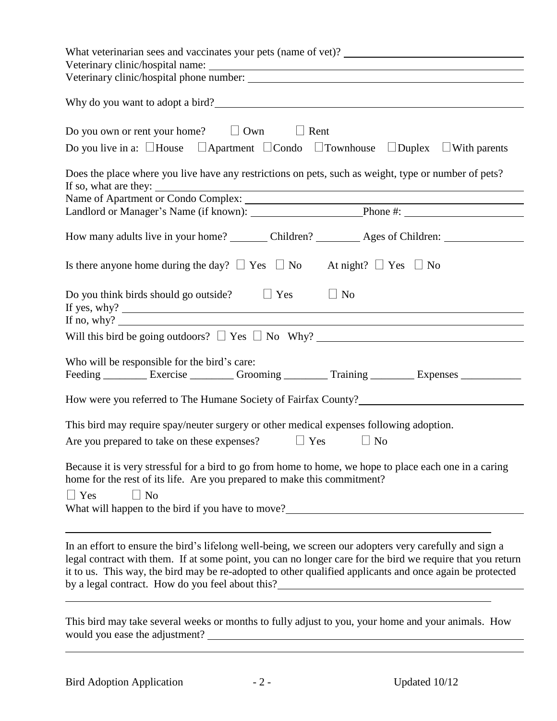| Why do you want to adopt a bird?                                                                                                                                                                                                                                                                                                  |
|-----------------------------------------------------------------------------------------------------------------------------------------------------------------------------------------------------------------------------------------------------------------------------------------------------------------------------------|
| Do you own or rent your home? $\Box$ Own $\Box$ Rent<br>Do you live in a: $\Box$ House $\Box$ Apartment $\Box$ Condo $\Box$ Townhouse $\Box$ Duplex $\Box$ With parents                                                                                                                                                           |
| Does the place where you live have any restrictions on pets, such as weight, type or number of pets?                                                                                                                                                                                                                              |
|                                                                                                                                                                                                                                                                                                                                   |
| Landlord or Manager's Name (if known): Phone #: Phone #:                                                                                                                                                                                                                                                                          |
| How many adults live in your home? _________ Children? __________ Ages of Children: ________________                                                                                                                                                                                                                              |
| Is there anyone home during the day? $\Box$ Yes $\Box$ No At night? $\Box$ Yes $\Box$ No                                                                                                                                                                                                                                          |
| Do you think birds should go outside? $\Box$ Yes<br>$\Box$ No<br>If no, why?                                                                                                                                                                                                                                                      |
|                                                                                                                                                                                                                                                                                                                                   |
|                                                                                                                                                                                                                                                                                                                                   |
| Who will be responsible for the bird's care:<br>Feeding __________ Exercise _________ Grooming _________ Training _________ Expenses ___________                                                                                                                                                                                  |
| How were you referred to The Humane Society of Fairfax County?                                                                                                                                                                                                                                                                    |
| This bird may require spay/neuter surgery or other medical expenses following adoption.                                                                                                                                                                                                                                           |
| Are you prepared to take on these expenses? $\Box$ Yes $\Box$ No                                                                                                                                                                                                                                                                  |
| Because it is very stressful for a bird to go from home to home, we hope to place each one in a caring<br>home for the rest of its life. Are you prepared to make this commitment?<br>$\Box$ Yes<br>$\Box$ No<br>What will happen to the bird if you have to move?________________________________                                |
| In an effort to ensure the bird's lifelong well-being, we screen our adopters very carefully and sign a<br>legal contract with them. If at some point, you can no longer care for the bird we require that you return<br>it to us. This way, the bird may be re-adopted to other qualified applicants and once again be protected |
|                                                                                                                                                                                                                                                                                                                                   |

This bird may take several weeks or months to fully adjust to you, your home and your animals. How would you ease the adjustment?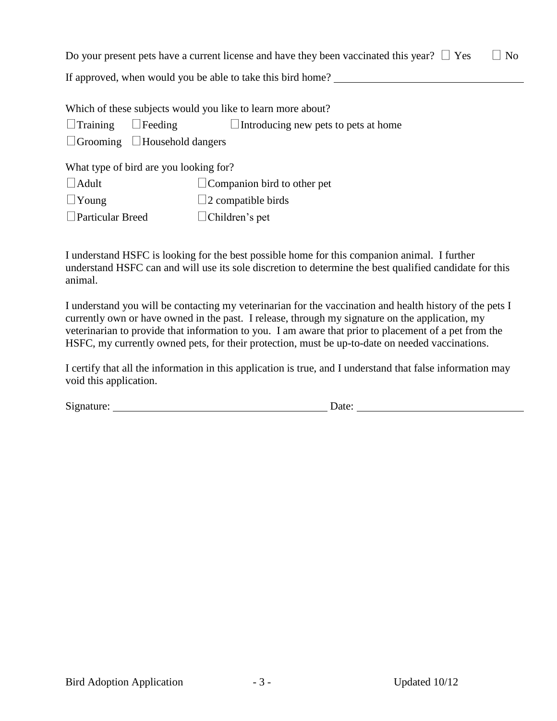Do your present pets have a current license and have they been vaccinated this year?  $\Box$  Yes  $\Box$  No

If approved, when would you be able to take this bird home?

Which of these subjects would you like to learn more about?

 $\Box$ Training  $\Box$  Feeding  $\Box$  Introducing new pets to pets at home

 $\Box$  Grooming  $\Box$  Household dangers

What type of bird are you looking for?

| $\Box$ Adult            | $\Box$ Companion bird to other pet |
|-------------------------|------------------------------------|
| $\Box$ Young            | $\Box$ 2 compatible birds          |
| <b>Particular Breed</b> | $\Box$ Children's pet              |

I understand HSFC is looking for the best possible home for this companion animal. I further understand HSFC can and will use its sole discretion to determine the best qualified candidate for this animal.

I understand you will be contacting my veterinarian for the vaccination and health history of the pets I currently own or have owned in the past. I release, through my signature on the application, my veterinarian to provide that information to you. I am aware that prior to placement of a pet from the HSFC, my currently owned pets, for their protection, must be up-to-date on needed vaccinations.

I certify that all the information in this application is true, and I understand that false information may void this application.

Signature: Date: Date: